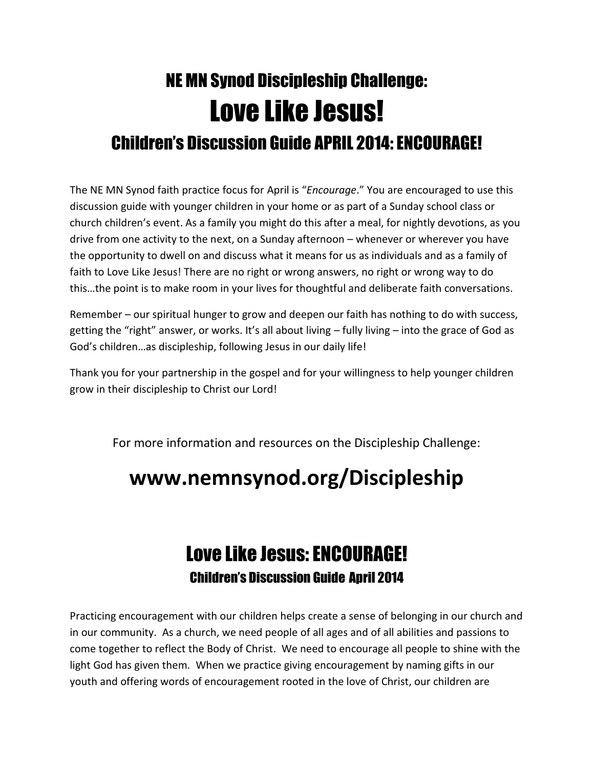## NE MN Synod Discipleship Challenge: Love Like Jesus! Children's Discussion Guide APRIL 2014: ENCOURAGE!

The NE MN Synod faith practice focus for April is "*Encourage*." You are encouraged to use this discussion guide with younger children in your home or as part of a Sunday school class or church children's event. As a family you might do this after a meal, for nightly devotions, as you drive from one activity to the next, on a Sunday afternoon – whenever or wherever you have the opportunity to dwell on and discuss what it means for us as individuals and as a family of faith to Love Like Jesus! There are no right or wrong answers, no right or wrong way to do this…the point is to make room in your lives for thoughtful and deliberate faith conversations.

Remember – our spiritual hunger to grow and deepen our faith has nothing to do with success, getting the "right" answer, or works. It's all about living – fully living – into the grace of God as God's children…as discipleship, following Jesus in our daily life!

Thank you for your partnership in the gospel and for your willingness to help younger children grow in their discipleship to Christ our Lord!

For more information and resources on the Discipleship Challenge:

## **www.nemnsynod.org/Discipleship**

## Love Like Jesus: ENCOURAGE! Children's Discussion Guide April 2014

Practicing encouragement with our children helps create a sense of belonging in our church and in our community. As a church, we need people of all ages and of all abilities and passions to come together to reflect the Body of Christ. We need to encourage all people to shine with the light God has given them. When we practice giving encouragement by naming gifts in our youth and offering words of encouragement rooted in the love of Christ, our children are